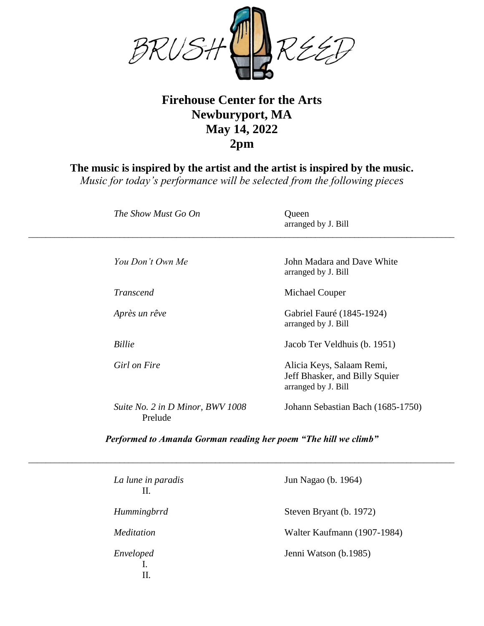

## **Firehouse Center for the Arts Newburyport, MA May 14, 2022 2pm**

**The music is inspired by the artist and the artist is inspired by the music.**

*Music for today's performance will be selected from the following pieces*

| The Show Must Go On                         | Queen<br>arranged by J. Bill                                                       |
|---------------------------------------------|------------------------------------------------------------------------------------|
| You Don't Own Me                            | John Madara and Dave White<br>arranged by J. Bill                                  |
| <b>Transcend</b>                            | Michael Couper                                                                     |
| Après un rêve                               | Gabriel Fauré (1845-1924)<br>arranged by J. Bill                                   |
| <b>Billie</b>                               | Jacob Ter Veldhuis (b. 1951)                                                       |
| Girl on Fire                                | Alicia Keys, Salaam Remi,<br>Jeff Bhasker, and Billy Squier<br>arranged by J. Bill |
| Suite No. 2 in D Minor, BWV 1008<br>Prelude | Johann Sebastian Bach (1685-1750)                                                  |

*Performed to Amanda Gorman reading her poem "The hill we climb"*

*\_\_\_\_\_\_\_\_\_\_\_\_\_\_\_\_\_\_\_\_\_\_\_\_\_\_\_\_\_\_\_\_\_\_\_\_\_\_\_\_\_\_\_\_\_\_\_\_\_\_\_\_\_\_\_\_\_\_\_\_\_\_\_\_\_\_\_\_\_\_\_\_\_\_\_\_\_\_\_\_\_\_\_\_\_\_\_\_\_\_\_\_\_\_\_\_\_\_*

| La lune in paradis<br>Н. | Jun Nagao (b. 1964)         |
|--------------------------|-----------------------------|
| Hummingbrrd              | Steven Bryant (b. 1972)     |
| <i>Meditation</i>        | Walter Kaufmann (1907-1984) |
| Enveloped<br>П.          | Jenni Watson (b.1985)       |